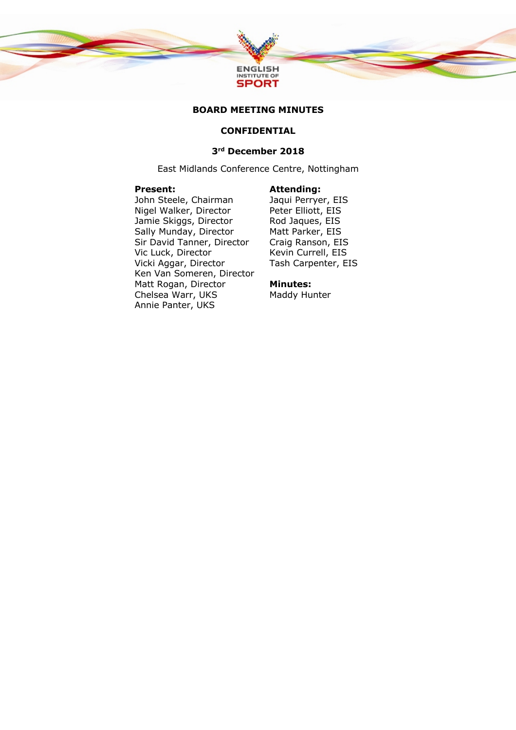

### **BOARD MEETING MINUTES**

# **CONFIDENTIAL**

# **3rd December 2018**

East Midlands Conference Centre, Nottingham

#### **Present:**

### **Attending:**

John Steele, Chairman Nigel Walker, Director Jamie Skiggs, Director Sally Munday, Director Sir David Tanner, Director Vic Luck, Director Vicki Aggar, Director Ken Van Someren, Director Matt Rogan, Director Chelsea Warr, UKS Annie Panter, UKS

Jaqui Perryer, EIS Peter Elliott, EIS Rod Jaques, EIS Matt Parker, EIS Craig Ranson, EIS Kevin Currell, EIS Tash Carpenter, EIS

#### **Minutes:**

Maddy Hunter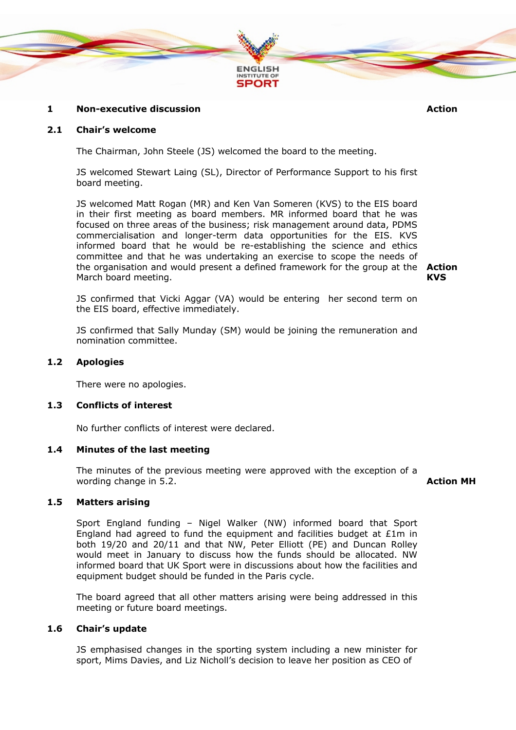

# **1 Non-executive discussion Action**

### **2.1 Chair's welcome**

The Chairman, John Steele (JS) welcomed the board to the meeting.

JS welcomed Stewart Laing (SL), Director of Performance Support to his first board meeting.

JS welcomed Matt Rogan (MR) and Ken Van Someren (KVS) to the EIS board in their first meeting as board members. MR informed board that he was focused on three areas of the business; risk management around data, PDMS commercialisation and longer-term data opportunities for the EIS. KVS informed board that he would be re-establishing the science and ethics committee and that he was undertaking an exercise to scope the needs of the organisation and would present a defined framework for the group at the **Action**  March board meeting.

**KVS**

JS confirmed that Vicki Aggar (VA) would be entering her second term on the EIS board, effective immediately.

JS confirmed that Sally Munday (SM) would be joining the remuneration and nomination committee.

#### **1.2 Apologies**

There were no apologies.

# **1.3 Conflicts of interest**

No further conflicts of interest were declared.

### **1.4 Minutes of the last meeting**

The minutes of the previous meeting were approved with the exception of a wording change in 5.2. **Action MH**

# **1.5 Matters arising**

Sport England funding – Nigel Walker (NW) informed board that Sport England had agreed to fund the equipment and facilities budget at £1m in both 19/20 and 20/11 and that NW, Peter Elliott (PE) and Duncan Rolley would meet in January to discuss how the funds should be allocated. NW informed board that UK Sport were in discussions about how the facilities and equipment budget should be funded in the Paris cycle.

The board agreed that all other matters arising were being addressed in this meeting or future board meetings.

#### **1.6 Chair's update**

JS emphasised changes in the sporting system including a new minister for sport, Mims Davies, and Liz Nicholl's decision to leave her position as CEO of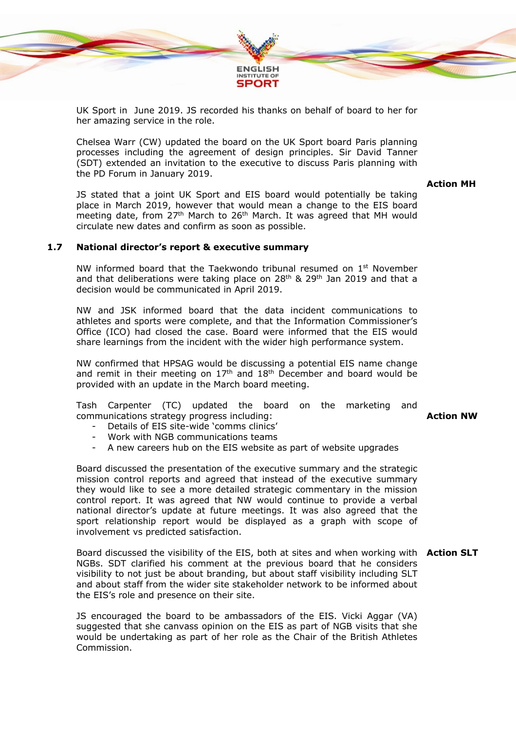

UK Sport in June 2019. JS recorded his thanks on behalf of board to her for her amazing service in the role.

Chelsea Warr (CW) updated the board on the UK Sport board Paris planning processes including the agreement of design principles. Sir David Tanner (SDT) extended an invitation to the executive to discuss Paris planning with the PD Forum in January 2019.

**Action MH**

JS stated that a joint UK Sport and EIS board would potentially be taking place in March 2019, however that would mean a change to the EIS board meeting date, from 27<sup>th</sup> March to 26<sup>th</sup> March. It was agreed that MH would circulate new dates and confirm as soon as possible.

# **1.7 National director's report & executive summary**

NW informed board that the Taekwondo tribunal resumed on  $1<sup>st</sup>$  November and that deliberations were taking place on 28<sup>th</sup> & 29<sup>th</sup> Jan 2019 and that a decision would be communicated in April 2019.

NW and JSK informed board that the data incident communications to athletes and sports were complete, and that the Information Commissioner's Office (ICO) had closed the case. Board were informed that the EIS would share learnings from the incident with the wider high performance system.

NW confirmed that HPSAG would be discussing a potential EIS name change and remit in their meeting on  $17<sup>th</sup>$  and  $18<sup>th</sup>$  December and board would be provided with an update in the March board meeting.

Tash Carpenter (TC) updated the board on the marketing and communications strategy progress including:

- Details of EIS site-wide 'comms clinics'
- Work with NGB communications teams
- A new careers hub on the EIS website as part of website upgrades

Board discussed the presentation of the executive summary and the strategic mission control reports and agreed that instead of the executive summary they would like to see a more detailed strategic commentary in the mission control report. It was agreed that NW would continue to provide a verbal national director's update at future meetings. It was also agreed that the sport relationship report would be displayed as a graph with scope of involvement vs predicted satisfaction.

Board discussed the visibility of the EIS, both at sites and when working with **Action SLT**NGBs. SDT clarified his comment at the previous board that he considers visibility to not just be about branding, but about staff visibility including SLT and about staff from the wider site stakeholder network to be informed about the EIS's role and presence on their site.

JS encouraged the board to be ambassadors of the EIS. Vicki Aggar (VA) suggested that she canvass opinion on the EIS as part of NGB visits that she would be undertaking as part of her role as the Chair of the British Athletes Commission.

**Action NW**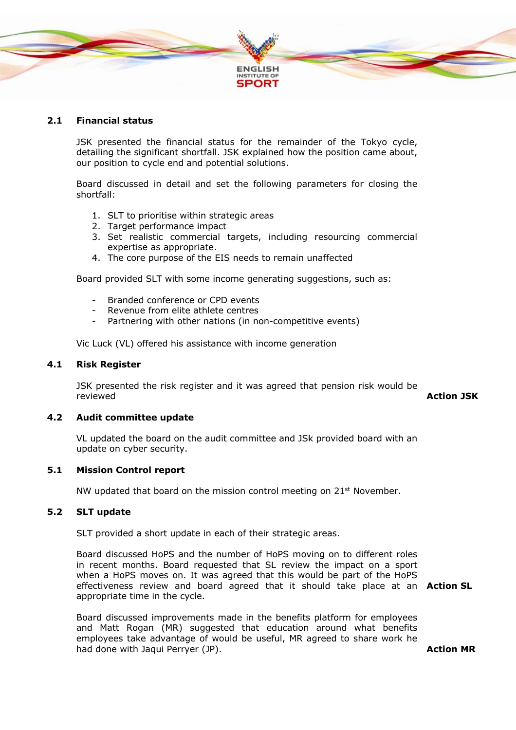

# **2.1 Financial status**

JSK presented the financial status for the remainder of the Tokyo cycle, detailing the significant shortfall. JSK explained how the position came about, our position to cycle end and potential solutions.

Board discussed in detail and set the following parameters for closing the shortfall:

- 1. SLT to prioritise within strategic areas
- 2. Target performance impact
- 3. Set realistic commercial targets, including resourcing commercial expertise as appropriate.
- 4. The core purpose of the EIS needs to remain unaffected

Board provided SLT with some income generating suggestions, such as:

- Branded conference or CPD events
- Revenue from elite athlete centres
- Partnering with other nations (in non-competitive events)

Vic Luck (VL) offered his assistance with income generation

# **4.1 Risk Register**

JSK presented the risk register and it was agreed that pension risk would be reviewed **Action JSK**

# **4.2 Audit committee update**

VL updated the board on the audit committee and JSk provided board with an update on cyber security.

### **5.1 Mission Control report**

NW updated that board on the mission control meeting on  $21<sup>st</sup>$  November.

# **5.2 SLT update**

SLT provided a short update in each of their strategic areas.

Board discussed HoPS and the number of HoPS moving on to different roles in recent months. Board requested that SL review the impact on a sport when a HoPS moves on. It was agreed that this would be part of the HoPS effectiveness review and board agreed that it should take place at an **Action SL** appropriate time in the cycle.

Board discussed improvements made in the benefits platform for employees and Matt Rogan (MR) suggested that education around what benefits employees take advantage of would be useful, MR agreed to share work he had done with Jaqui Perryer (JP).

**Action MR**